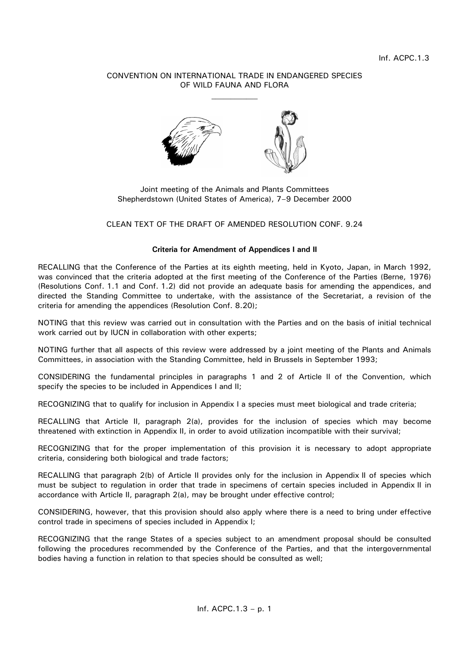# CONVENTION ON INTERNATIONAL TRADE IN ENDANGERED SPECIES OF WILD FAUNA AND FLORA



Joint meeting of the Animals and Plants Committees Shepherdstown (United States of America), 7–9 December 2000

## CLEAN TEXT OF THE DRAFT OF AMENDED RESOLUTION CONF. 9.24

### **Criteria for Amendment of Appendices I and II**

RECALLING that the Conference of the Parties at its eighth meeting, held in Kyoto, Japan, in March 1992, was convinced that the criteria adopted at the first meeting of the Conference of the Parties (Berne, 1976) (Resolutions Conf. 1.1 and Conf. 1.2) did not provide an adequate basis for amending the appendices, and directed the Standing Committee to undertake, with the assistance of the Secretariat, a revision of the criteria for amending the appendices (Resolution Conf. 8.20);

NOTING that this review was carried out in consultation with the Parties and on the basis of initial technical work carried out by IUCN in collaboration with other experts;

NOTING further that all aspects of this review were addressed by a joint meeting of the Plants and Animals Committees, in association with the Standing Committee, held in Brussels in September 1993;

CONSIDERING the fundamental principles in paragraphs 1 and 2 of Article II of the Convention, which specify the species to be included in Appendices I and II;

RECOGNIZING that to qualify for inclusion in Appendix I a species must meet biological and trade criteria;

RECALLING that Article II, paragraph 2(a), provides for the inclusion of species which may become threatened with extinction in Appendix II, in order to avoid utilization incompatible with their survival;

RECOGNIZING that for the proper implementation of this provision it is necessary to adopt appropriate criteria, considering both biological and trade factors;

RECALLING that paragraph 2(b) of Article II provides only for the inclusion in Appendix II of species which must be subject to regulation in order that trade in specimens of certain species included in Appendix II in accordance with Article II, paragraph 2(a), may be brought under effective control;

CONSIDERING, however, that this provision should also apply where there is a need to bring under effective control trade in specimens of species included in Appendix I;

RECOGNIZING that the range States of a species subject to an amendment proposal should be consulted following the procedures recommended by the Conference of the Parties, and that the intergovernmental bodies having a function in relation to that species should be consulted as well;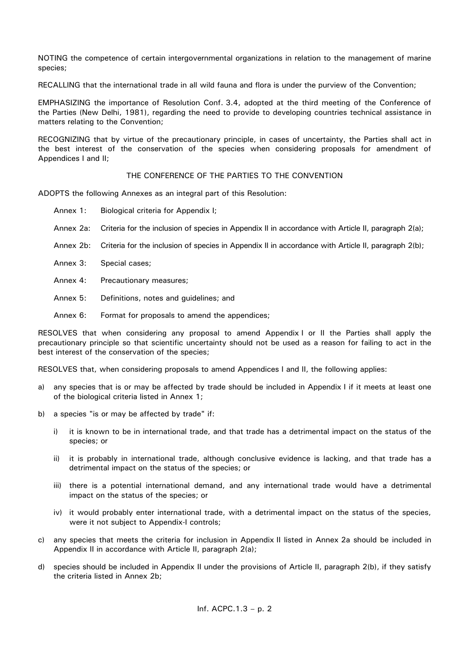NOTING the competence of certain intergovernmental organizations in relation to the management of marine species;

RECALLING that the international trade in all wild fauna and flora is under the purview of the Convention;

EMPHASIZING the importance of Resolution Conf. 3.4, adopted at the third meeting of the Conference of the Parties (New Delhi, 1981), regarding the need to provide to developing countries technical assistance in matters relating to the Convention;

RECOGNIZING that by virtue of the precautionary principle, in cases of uncertainty, the Parties shall act in the best interest of the conservation of the species when considering proposals for amendment of Appendices I and II;

## THE CONFERENCE OF THE PARTIES TO THE CONVENTION

ADOPTS the following Annexes as an integral part of this Resolution:

- Annex 1: Biological criteria for Appendix I;
- Annex 2a: Criteria for the inclusion of species in Appendix II in accordance with Article II, paragraph 2(a);
- Annex 2b: Criteria for the inclusion of species in Appendix II in accordance with Article II, paragraph 2(b);
- Annex 3: Special cases;
- Annex 4: Precautionary measures;
- Annex 5: Definitions, notes and guidelines; and
- Annex 6: Format for proposals to amend the appendices;

RESOLVES that when considering any proposal to amend Appendix I or II the Parties shall apply the precautionary principle so that scientific uncertainty should not be used as a reason for failing to act in the best interest of the conservation of the species;

RESOLVES that, when considering proposals to amend Appendices I and II, the following applies:

- a) any species that is or may be affected by trade should be included in Appendix I if it meets at least one of the biological criteria listed in Annex 1;
- b) a species "is or may be affected by trade" if:
	- i) it is known to be in international trade, and that trade has a detrimental impact on the status of the species; or
	- ii) it is probably in international trade, although conclusive evidence is lacking, and that trade has a detrimental impact on the status of the species; or
	- iii) there is a potential international demand, and any international trade would have a detrimental impact on the status of the species; or
	- iv) it would probably enter international trade, with a detrimental impact on the status of the species, were it not subject to Appendix-I controls;
- c) any species that meets the criteria for inclusion in Appendix II listed in Annex 2a should be included in Appendix II in accordance with Article II, paragraph 2(a);
- d) species should be included in Appendix II under the provisions of Article II, paragraph 2(b), if they satisfy the criteria listed in Annex 2b;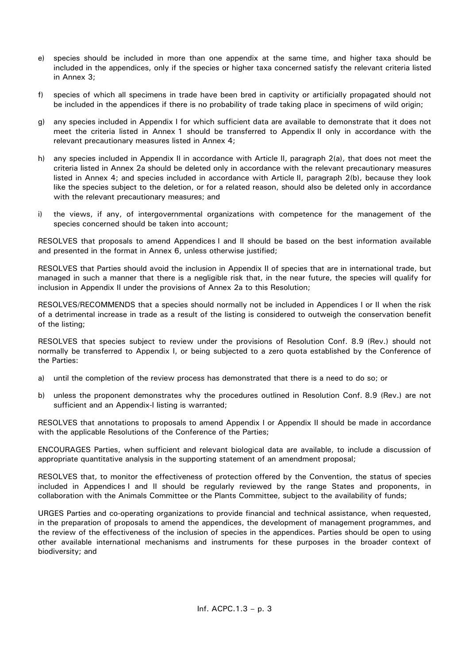- e) species should be included in more than one appendix at the same time, and higher taxa should be included in the appendices, only if the species or higher taxa concerned satisfy the relevant criteria listed in Annex 3;
- f) species of which all specimens in trade have been bred in captivity or artificially propagated should not be included in the appendices if there is no probability of trade taking place in specimens of wild origin;
- g) any species included in Appendix I for which sufficient data are available to demonstrate that it does not meet the criteria listed in Annex 1 should be transferred to Appendix II only in accordance with the relevant precautionary measures listed in Annex 4;
- h) any species included in Appendix II in accordance with Article II, paragraph 2(a), that does not meet the criteria listed in Annex 2a should be deleted only in accordance with the relevant precautionary measures listed in Annex 4; and species included in accordance with Article II, paragraph 2(b), because they look like the species subject to the deletion, or for a related reason, should also be deleted only in accordance with the relevant precautionary measures; and
- i) the views, if any, of intergovernmental organizations with competence for the management of the species concerned should be taken into account;

RESOLVES that proposals to amend Appendices I and II should be based on the best information available and presented in the format in Annex 6, unless otherwise justified;

RESOLVES that Parties should avoid the inclusion in Appendix II of species that are in international trade, but managed in such a manner that there is a negligible risk that, in the near future, the species will qualify for inclusion in Appendix II under the provisions of Annex 2a to this Resolution;

RESOLVES/RECOMMENDS that a species should normally not be included in Appendices I or II when the risk of a detrimental increase in trade as a result of the listing is considered to outweigh the conservation benefit of the listing;

RESOLVES that species subject to review under the provisions of Resolution Conf. 8.9 (Rev.) should not normally be transferred to Appendix I, or being subjected to a zero quota established by the Conference of the Parties:

- a) until the completion of the review process has demonstrated that there is a need to do so; or
- b) unless the proponent demonstrates why the procedures outlined in Resolution Conf. 8.9 (Rev.) are not sufficient and an Appendix-I listing is warranted;

RESOLVES that annotations to proposals to amend Appendix I or Appendix II should be made in accordance with the applicable Resolutions of the Conference of the Parties;

ENCOURAGES Parties, when sufficient and relevant biological data are available, to include a discussion of appropriate quantitative analysis in the supporting statement of an amendment proposal;

RESOLVES that, to monitor the effectiveness of protection offered by the Convention, the status of species included in Appendices I and II should be regularly reviewed by the range States and proponents, in collaboration with the Animals Committee or the Plants Committee, subject to the availability of funds;

URGES Parties and co-operating organizations to provide financial and technical assistance, when requested, in the preparation of proposals to amend the appendices, the development of management programmes, and the review of the effectiveness of the inclusion of species in the appendices. Parties should be open to using other available international mechanisms and instruments for these purposes in the broader context of biodiversity; and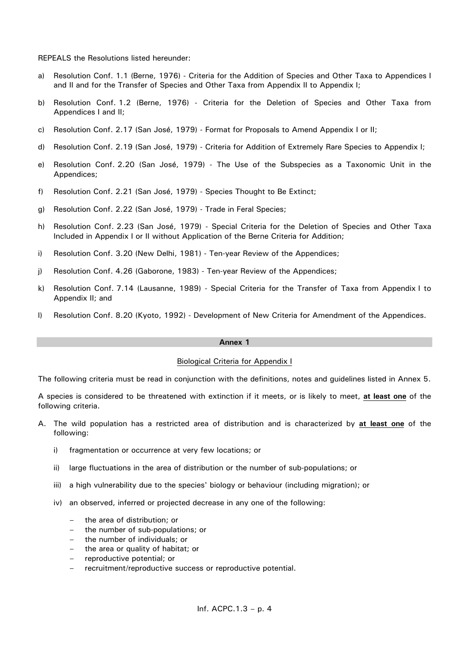REPEALS the Resolutions listed hereunder:

- a) Resolution Conf. 1.1 (Berne, 1976) Criteria for the Addition of Species and Other Taxa to Appendices I and II and for the Transfer of Species and Other Taxa from Appendix II to Appendix I;
- b) Resolution Conf. 1.2 (Berne, 1976) Criteria for the Deletion of Species and Other Taxa from Appendices I and II;
- c) Resolution Conf. 2.17 (San José, 1979) Format for Proposals to Amend Appendix I or II;
- d) Resolution Conf. 2.19 (San José, 1979) Criteria for Addition of Extremely Rare Species to Appendix I;
- e) Resolution Conf. 2.20 (San José, 1979) The Use of the Subspecies as a Taxonomic Unit in the Appendices;
- f) Resolution Conf. 2.21 (San José, 1979) Species Thought to Be Extinct;
- g) Resolution Conf. 2.22 (San José, 1979) Trade in Feral Species;
- h) Resolution Conf. 2.23 (San José, 1979) Special Criteria for the Deletion of Species and Other Taxa Included in Appendix I or II without Application of the Berne Criteria for Addition;
- i) Resolution Conf. 3.20 (New Delhi, 1981) Ten-year Review of the Appendices;
- j) Resolution Conf. 4.26 (Gaborone, 1983) Ten-year Review of the Appendices;
- k) Resolution Conf. 7.14 (Lausanne, 1989) Special Criteria for the Transfer of Taxa from Appendix I to Appendix II; and
- l) Resolution Conf. 8.20 (Kyoto, 1992) Development of New Criteria for Amendment of the Appendices.

#### **Annex 1**

#### Biological Criteria for Appendix I

The following criteria must be read in conjunction with the definitions, notes and guidelines listed in Annex 5.

A species is considered to be threatened with extinction if it meets, or is likely to meet, **at least one** of the following criteria.

- A. The wild population has a restricted area of distribution and is characterized by **at least one** of the following:
	- i) fragmentation or occurrence at very few locations; or
	- ii) large fluctuations in the area of distribution or the number of sub-populations; or
	- iii) a high vulnerability due to the species' biology or behaviour (including migration); or
	- iv) an observed, inferred or projected decrease in any one of the following:
		- the area of distribution; or
		- the number of sub-populations; or
		- the number of individuals; or
		- the area or quality of habitat; or
		- reproductive potential; or
		- recruitment/reproductive success or reproductive potential.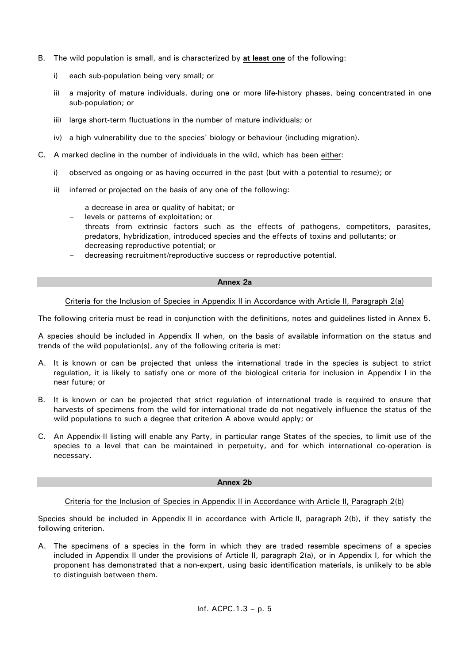- B. The wild population is small, and is characterized by **at least one** of the following:
	- i) each sub-population being very small; or
	- ii) a majority of mature individuals, during one or more life-history phases, being concentrated in one sub-population; or
	- iii) large short-term fluctuations in the number of mature individuals; or
	- iv) a high vulnerability due to the species' biology or behaviour (including migration).
- C. A marked decline in the number of individuals in the wild, which has been either:
	- i) observed as ongoing or as having occurred in the past (but with a potential to resume); or
	- ii) inferred or projected on the basis of any one of the following:
		- a decrease in area or quality of habitat; or
		- levels or patterns of exploitation; or
		- threats from extrinsic factors such as the effects of pathogens, competitors, parasites, predators, hybridization, introduced species and the effects of toxins and pollutants; or
		- decreasing reproductive potential; or
		- decreasing recruitment/reproductive success or reproductive potential.

### **Annex 2a**

## Criteria for the Inclusion of Species in Appendix II in Accordance with Article II, Paragraph 2(a)

The following criteria must be read in conjunction with the definitions, notes and guidelines listed in Annex 5.

A species should be included in Appendix II when, on the basis of available information on the status and trends of the wild population(s), any of the following criteria is met:

- A. It is known or can be projected that unless the international trade in the species is subject to strict regulation, it is likely to satisfy one or more of the biological criteria for inclusion in Appendix I in the near future; or
- B. It is known or can be projected that strict regulation of international trade is required to ensure that harvests of specimens from the wild for international trade do not negatively influence the status of the wild populations to such a degree that criterion A above would apply; or
- C. An Appendix-II listing will enable any Party, in particular range States of the species, to limit use of the species to a level that can be maintained in perpetuity, and for which international co-operation is necessary.

#### **Annex 2b**

## Criteria for the Inclusion of Species in Appendix II in Accordance with Article II, Paragraph 2(b)

Species should be included in Appendix II in accordance with Article II, paragraph 2(b), if they satisfy the following criterion.

A. The specimens of a species in the form in which they are traded resemble specimens of a species included in Appendix II under the provisions of Article II, paragraph 2(a), or in Appendix I, for which the proponent has demonstrated that a non-expert, using basic identification materials, is unlikely to be able to distinguish between them.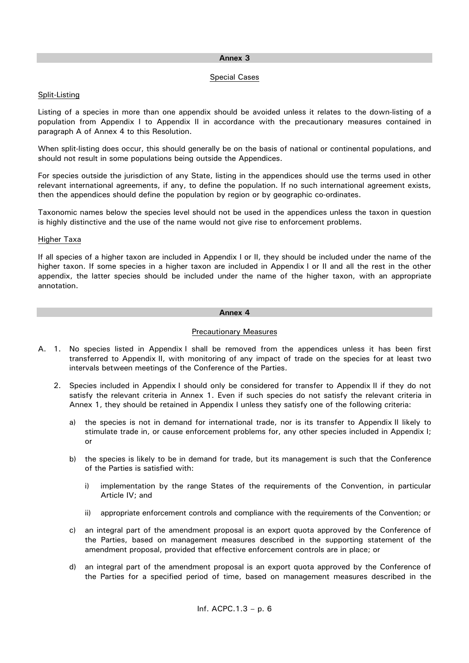## **Annex 3**

## Special Cases

## Split-Listing

Listing of a species in more than one appendix should be avoided unless it relates to the down-listing of a population from Appendix I to Appendix II in accordance with the precautionary measures contained in paragraph A of Annex 4 to this Resolution.

When split-listing does occur, this should generally be on the basis of national or continental populations, and should not result in some populations being outside the Appendices.

For species outside the jurisdiction of any State, listing in the appendices should use the terms used in other relevant international agreements, if any, to define the population. If no such international agreement exists, then the appendices should define the population by region or by geographic co-ordinates.

Taxonomic names below the species level should not be used in the appendices unless the taxon in question is highly distinctive and the use of the name would not give rise to enforcement problems.

## Higher Taxa

If all species of a higher taxon are included in Appendix I or II, they should be included under the name of the higher taxon. If some species in a higher taxon are included in Appendix I or II and all the rest in the other appendix, the latter species should be included under the name of the higher taxon, with an appropriate annotation.

### **Annex 4**

## Precautionary Measures

- A. 1. No species listed in Appendix I shall be removed from the appendices unless it has been first transferred to Appendix II, with monitoring of any impact of trade on the species for at least two intervals between meetings of the Conference of the Parties.
	- 2. Species included in Appendix I should only be considered for transfer to Appendix II if they do not satisfy the relevant criteria in Annex 1. Even if such species do not satisfy the relevant criteria in Annex 1, they should be retained in Appendix I unless they satisfy one of the following criteria:
		- a) the species is not in demand for international trade, nor is its transfer to Appendix II likely to stimulate trade in, or cause enforcement problems for, any other species included in Appendix I; or
		- b) the species is likely to be in demand for trade, but its management is such that the Conference of the Parties is satisfied with:
			- i) implementation by the range States of the requirements of the Convention, in particular Article IV; and
			- ii) appropriate enforcement controls and compliance with the requirements of the Convention; or
		- c) an integral part of the amendment proposal is an export quota approved by the Conference of the Parties, based on management measures described in the supporting statement of the amendment proposal, provided that effective enforcement controls are in place; or
		- d) an integral part of the amendment proposal is an export quota approved by the Conference of the Parties for a specified period of time, based on management measures described in the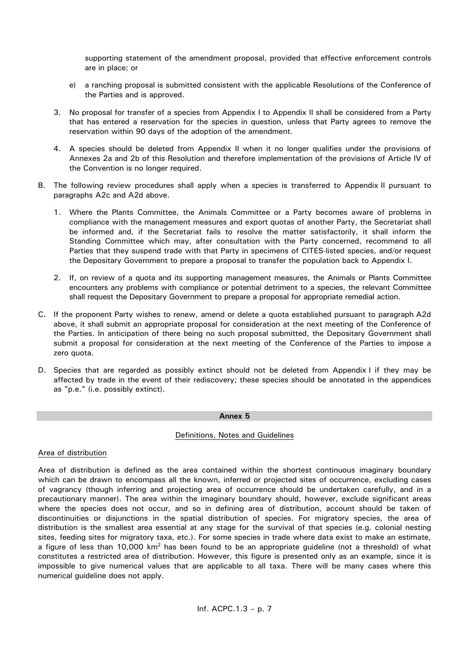supporting statement of the amendment proposal, provided that effective enforcement controls are in place; or

- e) a ranching proposal is submitted consistent with the applicable Resolutions of the Conference of the Parties and is approved.
- 3. No proposal for transfer of a species from Appendix I to Appendix II shall be considered from a Party that has entered a reservation for the species in question, unless that Party agrees to remove the reservation within 90 days of the adoption of the amendment.
- 4. A species should be deleted from Appendix II when it no longer qualifies under the provisions of Annexes 2a and 2b of this Resolution and therefore implementation of the provisions of Article IV of the Convention is no longer required.
- B. The following review procedures shall apply when a species is transferred to Appendix II pursuant to paragraphs A2c and A2d above.
	- 1. Where the Plants Committee, the Animals Committee or a Party becomes aware of problems in compliance with the management measures and export quotas of another Party, the Secretariat shall be informed and, if the Secretariat fails to resolve the matter satisfactorily, it shall inform the Standing Committee which may, after consultation with the Party concerned, recommend to all Parties that they suspend trade with that Party in specimens of CITES-listed species, and/or request the Depositary Government to prepare a proposal to transfer the population back to Appendix I.
	- 2. If, on review of a quota and its supporting management measures, the Animals or Plants Committee encounters any problems with compliance or potential detriment to a species, the relevant Committee shall request the Depositary Government to prepare a proposal for appropriate remedial action.
- C. If the proponent Party wishes to renew, amend or delete a quota established pursuant to paragraph A2d above, it shall submit an appropriate proposal for consideration at the next meeting of the Conference of the Parties. In anticipation of there being no such proposal submitted, the Depositary Government shall submit a proposal for consideration at the next meeting of the Conference of the Parties to impose a zero quota.
- D. Species that are regarded as possibly extinct should not be deleted from Appendix I if they may be affected by trade in the event of their rediscovery; these species should be annotated in the appendices as "p.e." (i.e. possibly extinct).

## **Annex 5**

## Definitions, Notes and Guidelines

## Area of distribution

Area of distribution is defined as the area contained within the shortest continuous imaginary boundary which can be drawn to encompass all the known, inferred or projected sites of occurrence, excluding cases of vagrancy (though inferring and projecting area of occurrence should be undertaken carefully, and in a precautionary manner). The area within the imaginary boundary should, however, exclude significant areas where the species does not occur, and so in defining area of distribution, account should be taken of discontinuities or disjunctions in the spatial distribution of species. For migratory species, the area of distribution is the smallest area essential at any stage for the survival of that species (e.g. colonial nesting sites, feeding sites for migratory taxa, etc.). For some species in trade where data exist to make an estimate, a figure of less than 10,000 km<sup>2</sup> has been found to be an appropriate guideline (not a threshold) of what constitutes a restricted area of distribution. However, this figure is presented only as an example, since it is impossible to give numerical values that are applicable to all taxa. There will be many cases where this numerical guideline does not apply.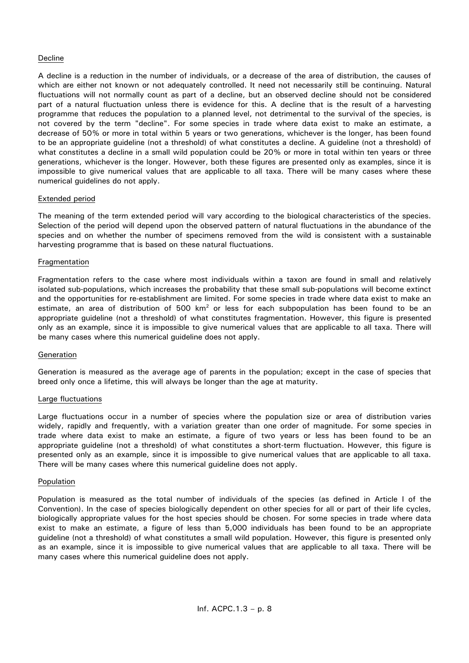## Decline

A decline is a reduction in the number of individuals, or a decrease of the area of distribution, the causes of which are either not known or not adequately controlled. It need not necessarily still be continuing. Natural fluctuations will not normally count as part of a decline, but an observed decline should not be considered part of a natural fluctuation unless there is evidence for this. A decline that is the result of a harvesting programme that reduces the population to a planned level, not detrimental to the survival of the species, is not covered by the term "decline". For some species in trade where data exist to make an estimate, a decrease of 50% or more in total within 5 years or two generations, whichever is the longer, has been found to be an appropriate guideline (not a threshold) of what constitutes a decline. A guideline (not a threshold) of what constitutes a decline in a small wild population could be 20% or more in total within ten years or three generations, whichever is the longer. However, both these figures are presented only as examples, since it is impossible to give numerical values that are applicable to all taxa. There will be many cases where these numerical guidelines do not apply.

## Extended period

The meaning of the term extended period will vary according to the biological characteristics of the species. Selection of the period will depend upon the observed pattern of natural fluctuations in the abundance of the species and on whether the number of specimens removed from the wild is consistent with a sustainable harvesting programme that is based on these natural fluctuations.

## Fragmentation

Fragmentation refers to the case where most individuals within a taxon are found in small and relatively isolated sub-populations, which increases the probability that these small sub-populations will become extinct and the opportunities for re-establishment are limited. For some species in trade where data exist to make an estimate, an area of distribution of 500 km<sup>2</sup> or less for each subpopulation has been found to be an appropriate guideline (not a threshold) of what constitutes fragmentation. However, this figure is presented only as an example, since it is impossible to give numerical values that are applicable to all taxa. There will be many cases where this numerical guideline does not apply.

## Generation

Generation is measured as the average age of parents in the population; except in the case of species that breed only once a lifetime, this will always be longer than the age at maturity.

## Large fluctuations

Large fluctuations occur in a number of species where the population size or area of distribution varies widely, rapidly and frequently, with a variation greater than one order of magnitude. For some species in trade where data exist to make an estimate, a figure of two years or less has been found to be an appropriate guideline (not a threshold) of what constitutes a short-term fluctuation. However, this figure is presented only as an example, since it is impossible to give numerical values that are applicable to all taxa. There will be many cases where this numerical guideline does not apply.

## Population

Population is measured as the total number of individuals of the species (as defined in Article I of the Convention). In the case of species biologically dependent on other species for all or part of their life cycles, biologically appropriate values for the host species should be chosen. For some species in trade where data exist to make an estimate, a figure of less than 5,000 individuals has been found to be an appropriate guideline (not a threshold) of what constitutes a small wild population. However, this figure is presented only as an example, since it is impossible to give numerical values that are applicable to all taxa. There will be many cases where this numerical guideline does not apply.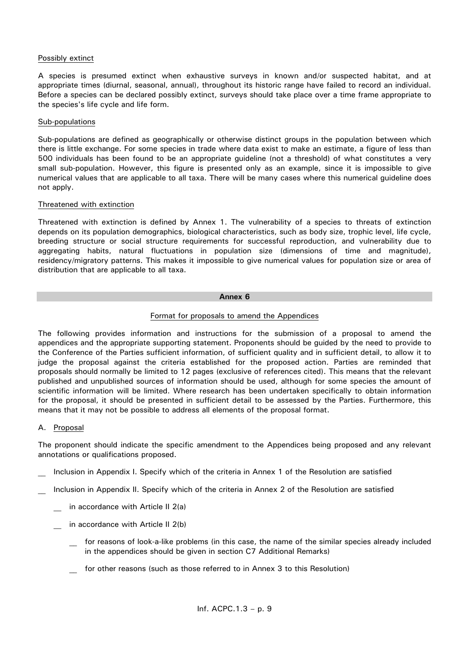## Possibly extinct

A species is presumed extinct when exhaustive surveys in known and/or suspected habitat, and at appropriate times (diurnal, seasonal, annual), throughout its historic range have failed to record an individual. Before a species can be declared possibly extinct, surveys should take place over a time frame appropriate to the species's life cycle and life form.

## Sub-populations

Sub-populations are defined as geographically or otherwise distinct groups in the population between which there is little exchange. For some species in trade where data exist to make an estimate, a figure of less than 500 individuals has been found to be an appropriate guideline (not a threshold) of what constitutes a very small sub-population. However, this figure is presented only as an example, since it is impossible to give numerical values that are applicable to all taxa. There will be many cases where this numerical guideline does not apply.

## Threatened with extinction

Threatened with extinction is defined by Annex 1. The vulnerability of a species to threats of extinction depends on its population demographics, biological characteristics, such as body size, trophic level, life cycle, breeding structure or social structure requirements for successful reproduction, and vulnerability due to aggregating habits, natural fluctuations in population size (dimensions of time and magnitude), residency/migratory patterns. This makes it impossible to give numerical values for population size or area of distribution that are applicable to all taxa.

## **Annex 6**

# Format for proposals to amend the Appendices

The following provides information and instructions for the submission of a proposal to amend the appendices and the appropriate supporting statement. Proponents should be guided by the need to provide to the Conference of the Parties sufficient information, of sufficient quality and in sufficient detail, to allow it to judge the proposal against the criteria established for the proposed action. Parties are reminded that proposals should normally be limited to 12 pages (exclusive of references cited). This means that the relevant published and unpublished sources of information should be used, although for some species the amount of scientific information will be limited. Where research has been undertaken specifically to obtain information for the proposal, it should be presented in sufficient detail to be assessed by the Parties. Furthermore, this means that it may not be possible to address all elements of the proposal format.

# A. Proposal

The proponent should indicate the specific amendment to the Appendices being proposed and any relevant annotations or qualifications proposed.

- Inclusion in Appendix I. Specify which of the criteria in Annex 1 of the Resolution are satisfied
- Inclusion in Appendix II. Specify which of the criteria in Annex 2 of the Resolution are satisfied
	- in accordance with Article II 2(a)
	- in accordance with Article II  $2(b)$ 
		- for reasons of look-a-like problems (in this case, the name of the similar species already included in the appendices should be given in section C7 Additional Remarks)
		- for other reasons (such as those referred to in Annex 3 to this Resolution)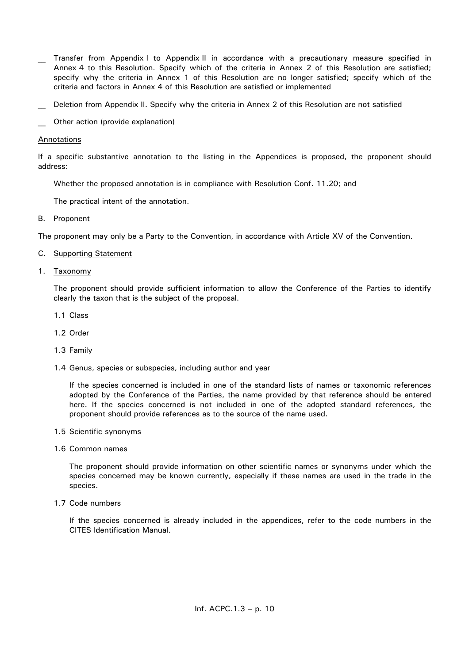- Transfer from Appendix I to Appendix II in accordance with a precautionary measure specified in Annex 4 to this Resolution. Specify which of the criteria in Annex 2 of this Resolution are satisfied; specify why the criteria in Annex 1 of this Resolution are no longer satisfied; specify which of the criteria and factors in Annex 4 of this Resolution are satisfied or implemented
- Deletion from Appendix II. Specify why the criteria in Annex 2 of this Resolution are not satisfied
- Other action (provide explanation)

## Annotations

If a specific substantive annotation to the listing in the Appendices is proposed, the proponent should address:

Whether the proposed annotation is in compliance with Resolution Conf. 11.20; and

The practical intent of the annotation.

B. Proponent

The proponent may only be a Party to the Convention, in accordance with Article XV of the Convention.

## C. Supporting Statement

1. Taxonomy

The proponent should provide sufficient information to allow the Conference of the Parties to identify clearly the taxon that is the subject of the proposal.

- 1.1 Class
- 1.2 Order
- 1.3 Family
- 1.4 Genus, species or subspecies, including author and year

If the species concerned is included in one of the standard lists of names or taxonomic references adopted by the Conference of the Parties, the name provided by that reference should be entered here. If the species concerned is not included in one of the adopted standard references, the proponent should provide references as to the source of the name used.

- 1.5 Scientific synonyms
- 1.6 Common names

The proponent should provide information on other scientific names or synonyms under which the species concerned may be known currently, especially if these names are used in the trade in the species.

1.7 Code numbers

If the species concerned is already included in the appendices, refer to the code numbers in the CITES Identification Manual.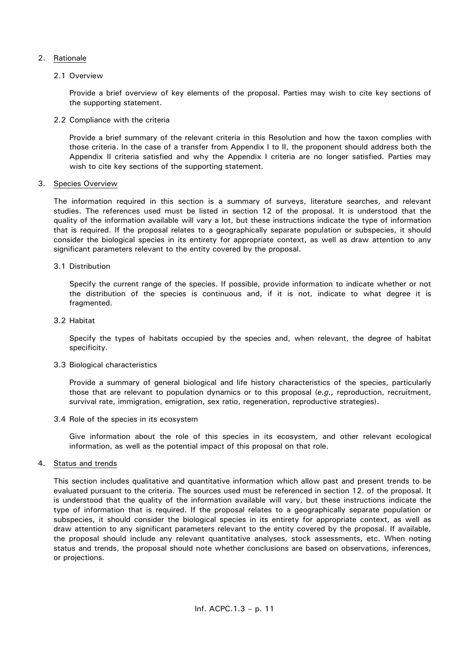## 2. Rationale

## 2.1 Overview

Provide a brief overview of key elements of the proposal. Parties may wish to cite key sections of the supporting statement.

## 2.2 Compliance with the criteria

Provide a brief summary of the relevant criteria in this Resolution and how the taxon complies with those criteria. In the case of a transfer from Appendix I to II, the proponent should address both the Appendix II criteria satisfied and why the Appendix I criteria are no longer satisfied. Parties may wish to cite key sections of the supporting statement.

## 3. Species Overview

The information required in this section is a summary of surveys, literature searches, and relevant studies. The references used must be listed in section 12 of the proposal. It is understood that the quality of the information available will vary a lot, but these instructions indicate the type of information that is required. If the proposal relates to a geographically separate population or subspecies, it should consider the biological species in its entirety for appropriate context, as well as draw attention to any significant parameters relevant to the entity covered by the proposal.

## 3.1 Distribution

Specify the current range of the species. If possible, provide information to indicate whether or not the distribution of the species is continuous and, if it is not, indicate to what degree it is fragmented.

## 3.2 Habitat

Specify the types of habitats occupied by the species and, when relevant, the degree of habitat specificity.

## 3.3 Biological characteristics

Provide a summary of general biological and life history characteristics of the species, particularly those that are relevant to population dynamics or to this proposal (*e.g.,* reproduction, recruitment, survival rate, immigration, emigration, sex ratio, regeneration, reproductive strategies).

3.4 Role of the species in its ecosystem

Give information about the role of this species in its ecosystem, and other relevant ecological information, as well as the potential impact of this proposal on that role.

## 4. Status and trends

This section includes qualitative and quantitative information which allow past and present trends to be evaluated pursuant to the criteria. The sources used must be referenced in section 12. of the proposal. It is understood that the quality of the information available will vary, but these instructions indicate the type of information that is required. If the proposal relates to a geographically separate population or subspecies, it should consider the biological species in its entirety for appropriate context, as well as draw attention to any significant parameters relevant to the entity covered by the proposal. If available, the proposal should include any relevant quantitative analyses, stock assessments, etc. When noting status and trends, the proposal should note whether conclusions are based on observations, inferences, or projections.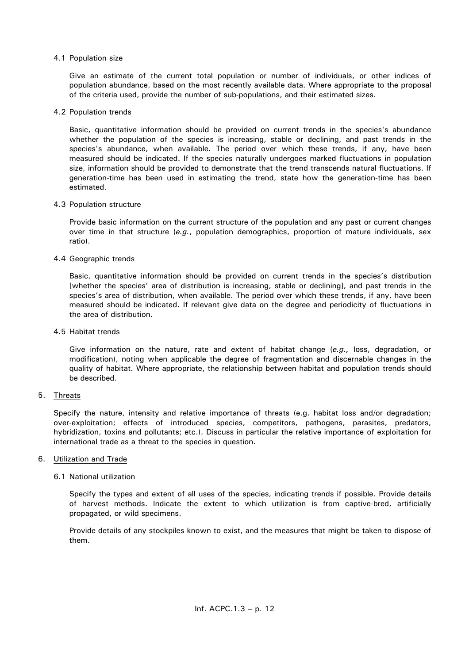## 4.1 Population size

Give an estimate of the current total population or number of individuals, or other indices of population abundance, based on the most recently available data. Where appropriate to the proposal of the criteria used, provide the number of sub-populations, and their estimated sizes.

### 4.2 Population trends

Basic, quantitative information should be provided on current trends in the species's abundance whether the population of the species is increasing, stable or declining, and past trends in the species's abundance, when available. The period over which these trends, if any, have been measured should be indicated. If the species naturally undergoes marked fluctuations in population size, information should be provided to demonstrate that the trend transcends natural fluctuations. If generation-time has been used in estimating the trend, state how the generation-time has been estimated.

#### 4.3 Population structure

Provide basic information on the current structure of the population and any past or current changes over time in that structure (*e.g.*, population demographics, proportion of mature individuals, sex ratio).

### 4.4 Geographic trends

Basic, quantitative information should be provided on current trends in the species's distribution [whether the species' area of distribution is increasing, stable or declining], and past trends in the species's area of distribution, when available. The period over which these trends, if any, have been measured should be indicated. If relevant give data on the degree and periodicity of fluctuations in the area of distribution.

### 4.5 Habitat trends

Give information on the nature, rate and extent of habitat change (*e.g.,* loss, degradation, or modification), noting when applicable the degree of fragmentation and discernable changes in the quality of habitat. Where appropriate, the relationship between habitat and population trends should be described.

## 5. Threats

Specify the nature, intensity and relative importance of threats (e.g. habitat loss and/or degradation; over-exploitation; effects of introduced species, competitors, pathogens, parasites, predators, hybridization, toxins and pollutants; etc.). Discuss in particular the relative importance of exploitation for international trade as a threat to the species in question.

#### 6. Utilization and Trade

## 6.1 National utilization

Specify the types and extent of all uses of the species, indicating trends if possible. Provide details of harvest methods. Indicate the extent to which utilization is from captive-bred, artificially propagated, or wild specimens.

Provide details of any stockpiles known to exist, and the measures that might be taken to dispose of them.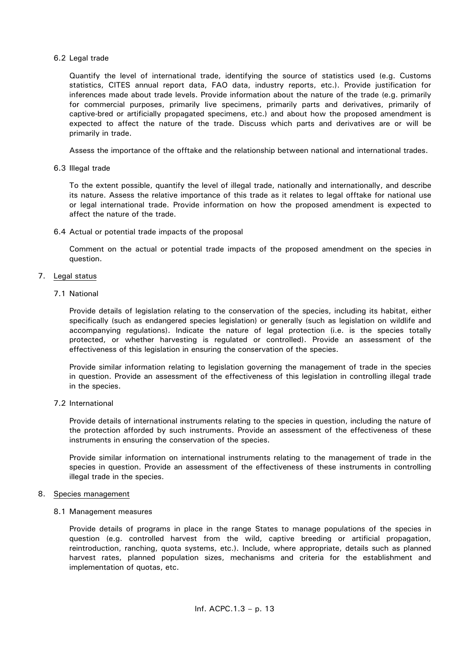## 6.2 Legal trade

Quantify the level of international trade, identifying the source of statistics used (e.g. Customs statistics, CITES annual report data, FAO data, industry reports, etc.). Provide justification for inferences made about trade levels. Provide information about the nature of the trade (e.g. primarily for commercial purposes, primarily live specimens, primarily parts and derivatives, primarily of captive-bred or artificially propagated specimens, etc.) and about how the proposed amendment is expected to affect the nature of the trade. Discuss which parts and derivatives are or will be primarily in trade.

Assess the importance of the offtake and the relationship between national and international trades.

6.3 Illegal trade

To the extent possible, quantify the level of illegal trade, nationally and internationally, and describe its nature. Assess the relative importance of this trade as it relates to legal offtake for national use or legal international trade. Provide information on how the proposed amendment is expected to affect the nature of the trade.

6.4 Actual or potential trade impacts of the proposal

Comment on the actual or potential trade impacts of the proposed amendment on the species in question.

## 7. Legal status

7.1 National

Provide details of legislation relating to the conservation of the species, including its habitat, either specifically (such as endangered species legislation) or generally (such as legislation on wildlife and accompanying regulations). Indicate the nature of legal protection (i.e. is the species totally protected, or whether harvesting is regulated or controlled). Provide an assessment of the effectiveness of this legislation in ensuring the conservation of the species.

Provide similar information relating to legislation governing the management of trade in the species in question. Provide an assessment of the effectiveness of this legislation in controlling illegal trade in the species.

# 7.2 International

Provide details of international instruments relating to the species in question, including the nature of the protection afforded by such instruments. Provide an assessment of the effectiveness of these instruments in ensuring the conservation of the species.

Provide similar information on international instruments relating to the management of trade in the species in question. Provide an assessment of the effectiveness of these instruments in controlling illegal trade in the species.

## 8. Species management

## 8.1 Management measures

Provide details of programs in place in the range States to manage populations of the species in question (e.g. controlled harvest from the wild, captive breeding or artificial propagation, reintroduction, ranching, quota systems, etc.). Include, where appropriate, details such as planned harvest rates, planned population sizes, mechanisms and criteria for the establishment and implementation of quotas, etc.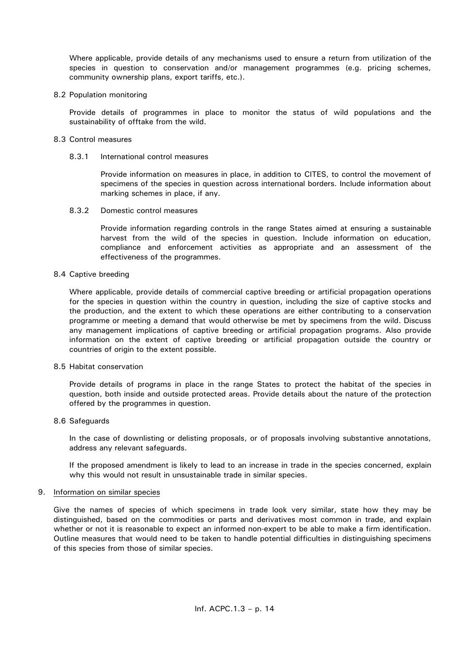Where applicable, provide details of any mechanisms used to ensure a return from utilization of the species in question to conservation and/or management programmes (e.g. pricing schemes, community ownership plans, export tariffs, etc.).

### 8.2 Population monitoring

Provide details of programmes in place to monitor the status of wild populations and the sustainability of offtake from the wild.

### 8.3 Control measures

### 8.3.1 International control measures

Provide information on measures in place, in addition to CITES, to control the movement of specimens of the species in question across international borders. Include information about marking schemes in place, if any.

### 8.3.2 Domestic control measures

Provide information regarding controls in the range States aimed at ensuring a sustainable harvest from the wild of the species in question. Include information on education, compliance and enforcement activities as appropriate and an assessment of the effectiveness of the programmes.

### 8.4 Captive breeding

Where applicable, provide details of commercial captive breeding or artificial propagation operations for the species in question within the country in question, including the size of captive stocks and the production, and the extent to which these operations are either contributing to a conservation programme or meeting a demand that would otherwise be met by specimens from the wild. Discuss any management implications of captive breeding or artificial propagation programs. Also provide information on the extent of captive breeding or artificial propagation outside the country or countries of origin to the extent possible.

### 8.5 Habitat conservation

Provide details of programs in place in the range States to protect the habitat of the species in question, both inside and outside protected areas. Provide details about the nature of the protection offered by the programmes in question.

## 8.6 Safeguards

In the case of downlisting or delisting proposals, or of proposals involving substantive annotations, address any relevant safeguards.

If the proposed amendment is likely to lead to an increase in trade in the species concerned, explain why this would not result in unsustainable trade in similar species.

#### 9. Information on similar species

Give the names of species of which specimens in trade look very similar, state how they may be distinguished, based on the commodities or parts and derivatives most common in trade, and explain whether or not it is reasonable to expect an informed non-expert to be able to make a firm identification. Outline measures that would need to be taken to handle potential difficulties in distinguishing specimens of this species from those of similar species.